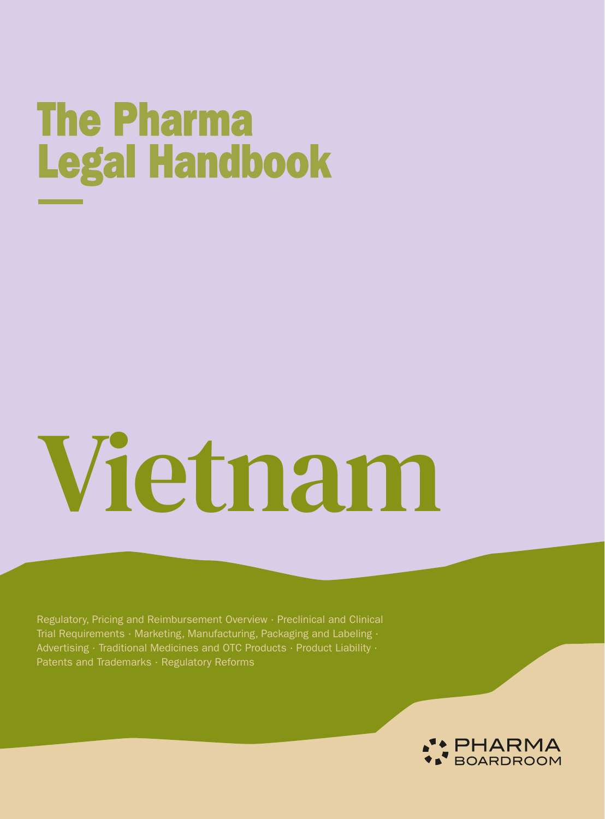# **The Pharma Legal Handbook**

# Vietnam

Regulatory, Pricing and Reimbursement Overview · Preclinical and Clinical Trial Requirements · Marketing, Manufacturing, Packaging and Labeling · Advertising · Traditional Medicines and OTC Products · Product Liability · Patents and Trademarks · Regulatory Reforms

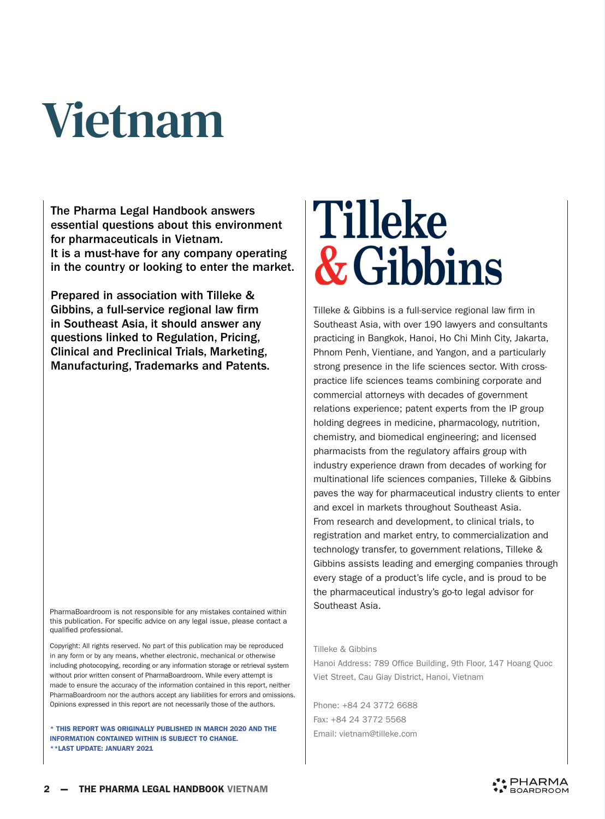# Vietnam

The Pharma Legal Handbook answers essential questions about this environment for pharmaceuticals in Vietnam. It is a must-have for any company operating in the country or looking to enter the market.

Prepared in association with Tilleke & Gibbins, a full-service regional law firm in Southeast Asia, it should answer any questions linked to Regulation, Pricing, Clinical and Preclinical Trials, Marketing, Manufacturing, Trademarks and Patents.

PharmaBoardroom is not responsible for any mistakes contained within this publication. For specific advice on any legal issue, please contact a qualified professional.

Copyright: All rights reserved. No part of this publication may be reproduced in any form or by any means, whether electronic, mechanical or otherwise including photocopying, recording or any information storage or retrieval system without prior written consent of PharmaBoardroom. While every attempt is made to ensure the accuracy of the information contained in this report, neither PharmaBoardroom nor the authors accept any liabilities for errors and omissions. Opinions expressed in this report are not necessarily those of the authors.

\* THIS REPORT WAS ORIGINALLY PUBLISHED IN MARCH 2020 AND THE INFORMATION CONTAINED WITHIN IS SUBJECT TO CHANGE. \*\*LAST UPDATE: JANUARY 2021

# **Tilleke** & Gibbins

Tilleke & Gibbins is a full-service regional law firm in Southeast Asia, with over 190 lawyers and consultants practicing in Bangkok, Hanoi, Ho Chi Minh City, Jakarta, Phnom Penh, Vientiane, and Yangon, and a particularly strong presence in the life sciences sector. With crosspractice life sciences teams combining corporate and commercial attorneys with decades of government relations experience; patent experts from the IP group holding degrees in medicine, pharmacology, nutrition, chemistry, and biomedical engineering; and licensed pharmacists from the regulatory affairs group with industry experience drawn from decades of working for multinational life sciences companies, Tilleke & Gibbins paves the way for pharmaceutical industry clients to enter and excel in markets throughout Southeast Asia. From research and development, to clinical trials, to registration and market entry, to commercialization and technology transfer, to government relations, Tilleke & Gibbins assists leading and emerging companies through every stage of a product's life cycle, and is proud to be the pharmaceutical industry's go-to legal advisor for Southeast Asia.

#### Tilleke & Gibbins

Hanoi Address: 789 Office Building, 9th Floor, 147 Hoang Quoc Viet Street, Cau Giay District, Hanoi, Vietnam

Phone: +84 24 3772 6688 Fax: +84 24 3772 5568 Email: vietnam@tilleke.com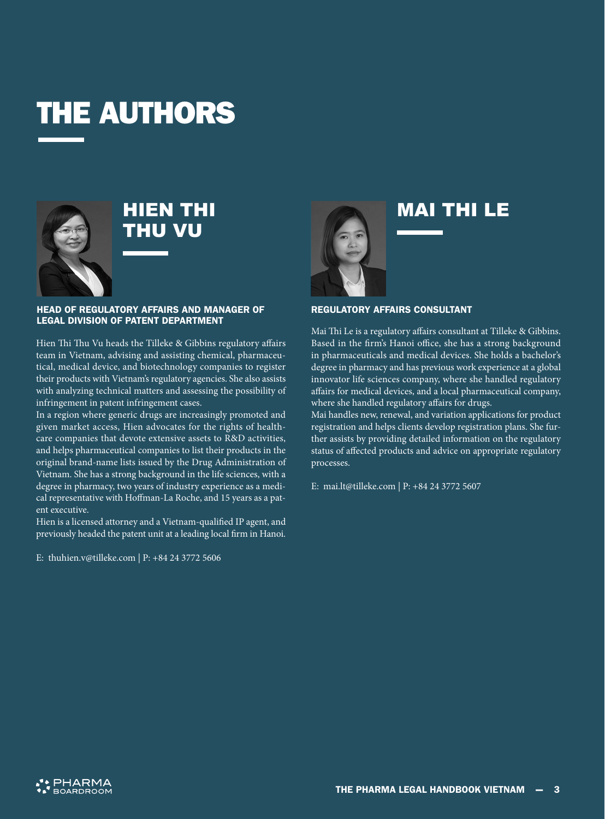### THE AUTHORS



### HIEN THI THU VU

#### HEAD OF REGULATORY AFFAIRS AND MANAGER OF LEGAL DIVISION OF PATENT DEPARTMENT

Hien Thi Thu Vu heads the Tilleke & Gibbins regulatory affairs team in Vietnam, advising and assisting chemical, pharmaceutical, medical device, and biotechnology companies to register their products with Vietnam's regulatory agencies. She also assists with analyzing technical matters and assessing the possibility of infringement in patent infringement cases.

In a region where generic drugs are increasingly promoted and given market access, Hien advocates for the rights of healthcare companies that devote extensive assets to R&D activities, and helps pharmaceutical companies to list their products in the original brand-name lists issued by the Drug Administration of Vietnam. She has a strong background in the life sciences, with a degree in pharmacy, two years of industry experience as a medical representative with Hoffman-La Roche, and 15 years as a patent executive.

Hien is a licensed attorney and a Vietnam-qualified IP agent, and previously headed the patent unit at a leading local firm in Hanoi.

E: thuhien.v@tilleke.com | P: +84 24 3772 5606



### MAI THI LE

#### REGULATORY AFFAIRS CONSULTANT

Mai Thi Le is a regulatory affairs consultant at Tilleke & Gibbins. Based in the firm's Hanoi office, she has a strong background in pharmaceuticals and medical devices. She holds a bachelor's degree in pharmacy and has previous work experience at a global innovator life sciences company, where she handled regulatory affairs for medical devices, and a local pharmaceutical company, where she handled regulatory affairs for drugs.

Mai handles new, renewal, and variation applications for product registration and helps clients develop registration plans. She further assists by providing detailed information on the regulatory status of affected products and advice on appropriate regulatory processes.

E: mai.lt@tilleke.com | P: +84 24 3772 5607

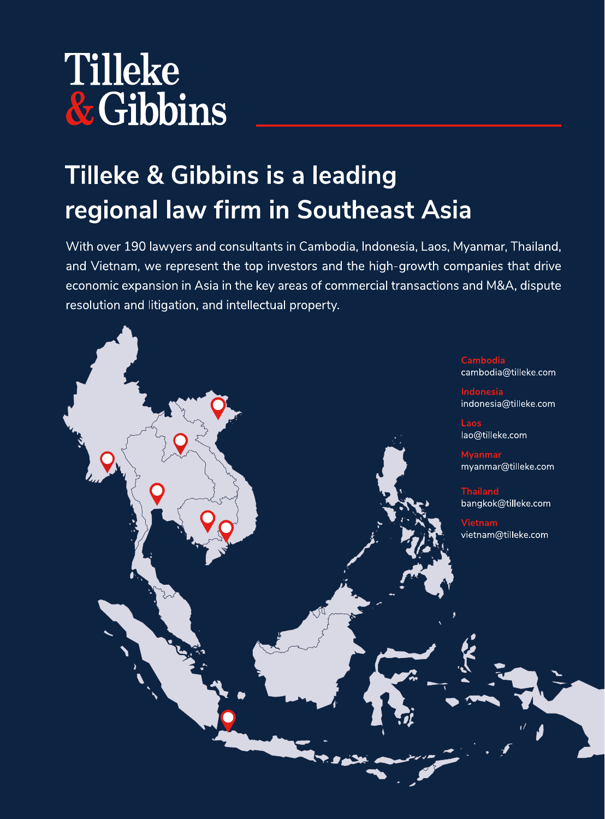## Tilleke & Gibbins

### Tilleke & Gibbins is a leading regional law firm in Southeast Asia

With over 190 lawyers and consultants in Cambodia, Indonesia, Laos, Myanmar, Thailand, and Vietnam, we represent the top investors and the high-growth companies that drive economic expansion in Asia in the key areas of commercial transactions and M&A, dispute resolution and litigation, and intellectual property.

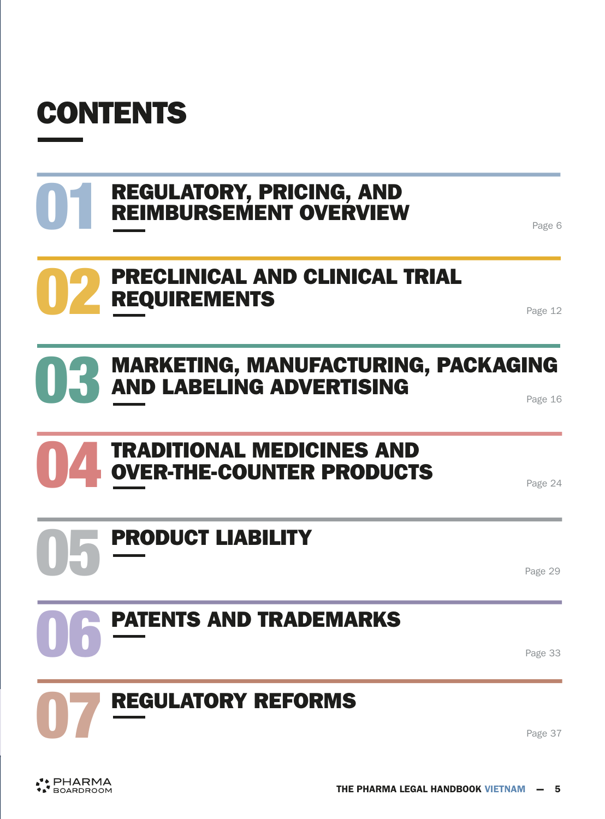

۰

| <b>REGULATORY, PRICING, AND</b><br><b>REIMBURSEMENT OVERVIEW</b>        | Page 6  |
|-------------------------------------------------------------------------|---------|
| <b>PRECLINICAL AND CLINICAL TRIAL</b><br><b>REQUIREMENTS</b>            | Page 12 |
| <b>MARKETING, MANUFACTURING, PACKAGING<br/>AND LABELING ADVERTISING</b> | Page 16 |
| <b>TRADITIONAL MEDICINES AND</b><br><b>OVER-THE-COUNTER PRODUCTS</b>    | Page 24 |
| <b>PRODUCT LIABILITY</b>                                                | Page 29 |
| <b>PATENTS AND TRADEMARKS</b>                                           | Page 33 |
| <b>REGULATORY REFORMS</b>                                               | Page 37 |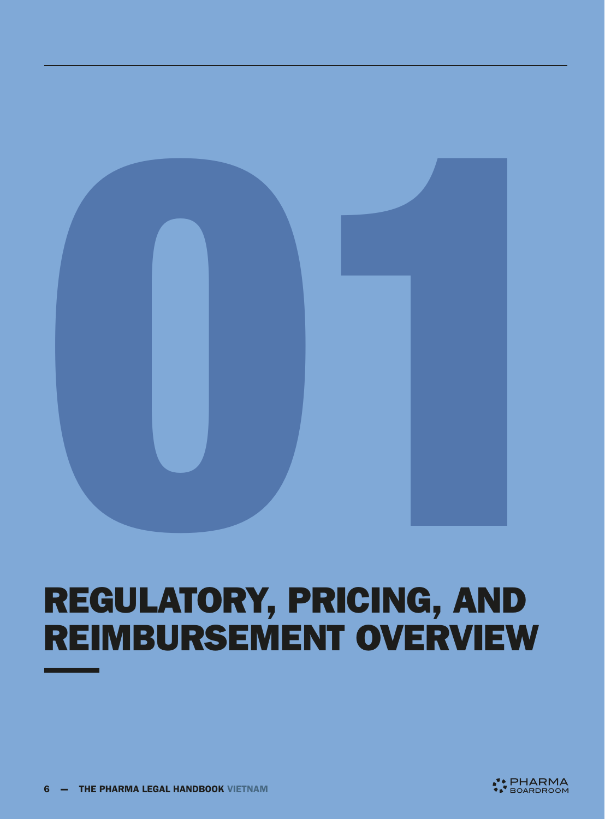<span id="page-5-0"></span>

### REGULATORY, PRICING, AND REIMBURSEMENT OVERVIEW

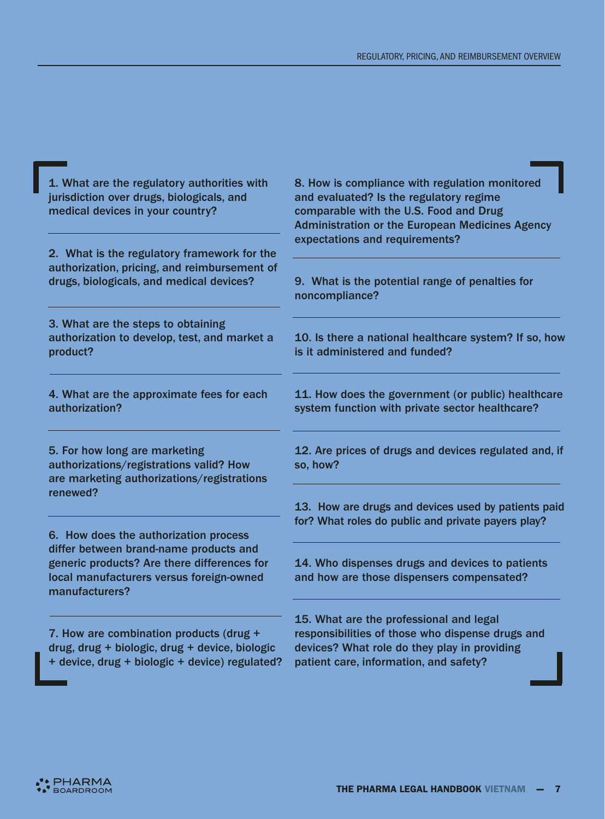8. How is compliance with regulation monitored

| jurisdiction over drugs, biologicals, and<br>medical devices in your country?                                                                       | and evaluated? Is the regulatory regime<br>comparable with the U.S. Food and Drug<br><b>Administration or the European Medicines Agency</b><br>expectations and requirements? |  |
|-----------------------------------------------------------------------------------------------------------------------------------------------------|-------------------------------------------------------------------------------------------------------------------------------------------------------------------------------|--|
| 2. What is the regulatory framework for the<br>authorization, pricing, and reimbursement of<br>drugs, biologicals, and medical devices?             | 9. What is the potential range of penalties for<br>noncompliance?                                                                                                             |  |
| 3. What are the steps to obtaining<br>authorization to develop, test, and market a<br>product?                                                      | 10. Is there a national healthcare system? If so, how<br>is it administered and funded?                                                                                       |  |
| 4. What are the approximate fees for each<br>authorization?                                                                                         | 11. How does the government (or public) healthcare<br>system function with private sector healthcare?                                                                         |  |
| 5. For how long are marketing<br>authorizations/registrations valid? How<br>are marketing authorizations/registrations                              | 12. Are prices of drugs and devices regulated and, if<br>so, how?                                                                                                             |  |
| renewed?<br>6. How does the authorization process                                                                                                   | 13. How are drugs and devices used by patients paid<br>for? What roles do public and private payers play?                                                                     |  |
| differ between brand-name products and<br>generic products? Are there differences for<br>local manufacturers versus foreign-owned<br>manufacturers? | 14. Who dispenses drugs and devices to patients<br>and how are those dispensers compensated?                                                                                  |  |
| 7. How are combination products (drug +<br>drug, drug + biologic, drug + device, biologic                                                           | 15. What are the professional and legal<br>responsibilities of those who dispense drugs and<br>devices? What role do they play in providing                                   |  |

drug, drug + biologic, drug + device, biologic + device, drug + biologic + device) regulated?

1. What are the regulatory authorities with

patient care, information, and safety?

**A** PHARMA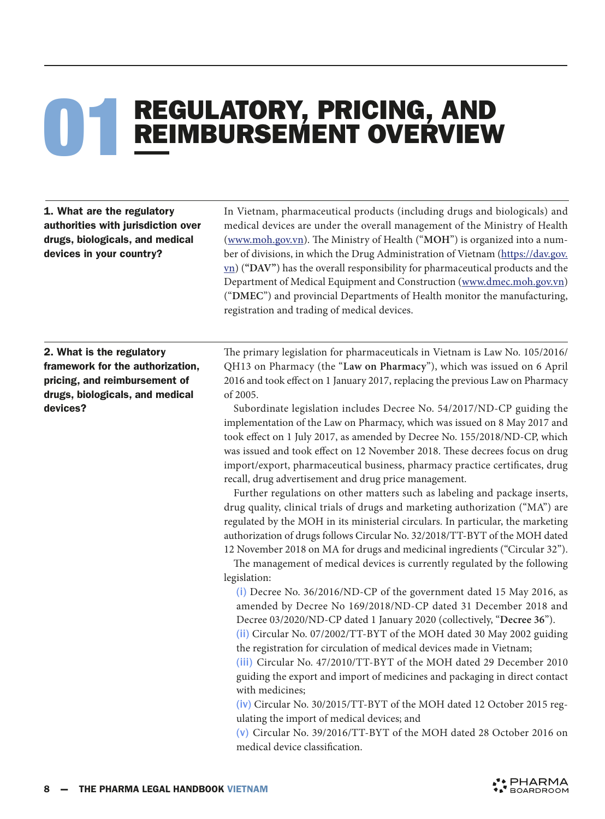# **REGULATORY, PRICING, AND<br>REIMBURSEMENT OVERVIEW**

1. What are the regulatory authorities with jurisdiction over drugs, biologicals, and medical devices in your country?

In Vietnam, pharmaceutical products (including drugs and biologicals) and medical devices are under the overall management of the Ministry of Health ([www.moh.gov.vn](http://www.moh.gov.vn)). The Ministry of Health ("**MOH**") is organized into a number of divisions, in which the Drug Administration of Vietnam ([https://dav.gov.](https://dav.gov.vn) vn) (**"DAV"**) has the overall responsibility for pharmaceutical products and the Department of Medical Equipment and Construction ([www.dmec.moh.gov.vn](http://www.dmec.moh.gov.vn)) ("**DMEC**") and provincial Departments of Health monitor the manufacturing, registration and trading of medical devices.

2. What is the regulatory framework for the authorization, pricing, and reimbursement of drugs, biologicals, and medical devices?

The primary legislation for pharmaceuticals in Vietnam is Law No. 105/2016/ QH13 on Pharmacy (the "**Law on Pharmacy**"), which was issued on 6 April 2016 and took effect on 1 January 2017, replacing the previous Law on Pharmacy of 2005.

Subordinate legislation includes Decree No. 54/2017/ND-CP guiding the implementation of the Law on Pharmacy, which was issued on 8 May 2017 and took effect on 1 July 2017, as amended by Decree No. 155/2018/ND-CP, which was issued and took effect on 12 November 2018. These decrees focus on drug import/export, pharmaceutical business, pharmacy practice certificates, drug recall, drug advertisement and drug price management.

Further regulations on other matters such as labeling and package inserts, drug quality, clinical trials of drugs and marketing authorization ("MA") are regulated by the MOH in its ministerial circulars. In particular, the marketing authorization of drugs follows Circular No. 32/2018/TT-BYT of the MOH dated 12 November 2018 on MA for drugs and medicinal ingredients ("Circular 32").

The management of medical devices is currently regulated by the following legislation:

(i) Decree No. 36/2016/ND-CP of the government dated 15 May 2016, as amended by Decree No 169/2018/ND-CP dated 31 December 2018 and Decree 03/2020/ND-CP dated 1 January 2020 (collectively, "**Decree 36**").

(ii) Circular No. 07/2002/TT-BYT of the MOH dated 30 May 2002 guiding the registration for circulation of medical devices made in Vietnam;

(iii) Circular No. 47/2010/TT-BYT of the MOH dated 29 December 2010 guiding the export and import of medicines and packaging in direct contact with medicines;

(iv) Circular No. 30/2015/TT-BYT of the MOH dated 12 October 2015 regulating the import of medical devices; and

(v) Circular No. 39/2016/TT-BYT of the MOH dated 28 October 2016 on medical device classification.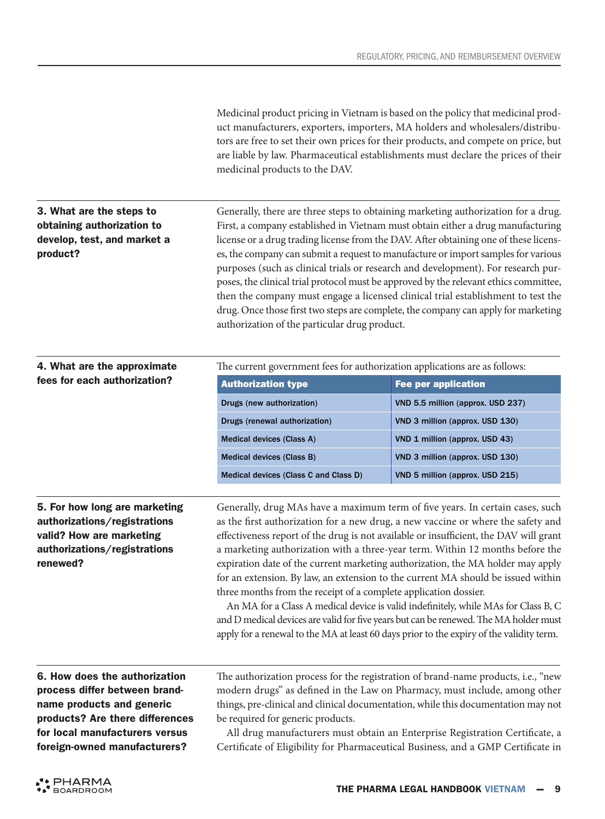Medicinal product pricing in Vietnam is based on the policy that medicinal product manufacturers, exporters, importers, MA holders and wholesalers/distributors are free to set their own prices for their products, and compete on price, but are liable by law. Pharmaceutical establishments must declare the prices of their medicinal products to the DAV.

### 3. What are the steps to obtaining authorization to develop, test, and market a product?

Generally, there are three steps to obtaining marketing authorization for a drug. First, a company established in Vietnam must obtain either a drug manufacturing license or a drug trading license from the DAV. After obtaining one of these licenses, the company can submit a request to manufacture or import samples for various purposes (such as clinical trials or research and development). For research purposes, the clinical trial protocol must be approved by the relevant ethics committee, then the company must engage a licensed clinical trial establishment to test the drug. Once those first two steps are complete, the company can apply for marketing authorization of the particular drug product.

| 4. What are the approximate                                   | The current government fees for authorization applications are as follows:                                                                                        |                                   |  |
|---------------------------------------------------------------|-------------------------------------------------------------------------------------------------------------------------------------------------------------------|-----------------------------------|--|
| fees for each authorization?                                  | <b>Authorization type</b>                                                                                                                                         | <b>Fee per application</b>        |  |
|                                                               | Drugs (new authorization)                                                                                                                                         | VND 5.5 million (approx. USD 237) |  |
|                                                               | Drugs (renewal authorization)                                                                                                                                     | VND 3 million (approx. USD 130)   |  |
|                                                               | Medical devices (Class A)                                                                                                                                         | VND 1 million (approx. USD 43)    |  |
|                                                               | Medical devices (Class B)                                                                                                                                         | VND 3 million (approx. USD 130)   |  |
|                                                               | Medical devices (Class C and Class D)                                                                                                                             | VND 5 million (approx. USD 215)   |  |
|                                                               |                                                                                                                                                                   |                                   |  |
| 5. For how long are marketing<br>authorizations/registrations | Generally, drug MAs have a maximum term of five years. In certain cases, such<br>as the first authorization for a new drug, a new vaccine or where the safety and |                                   |  |

### valid? How are marketing authorizations/registrations renewed?

effectiveness report of the drug is not available or insufficient, the DAV will grant a marketing authorization with a three-year term. Within 12 months before the expiration date of the current marketing authorization, the MA holder may apply for an extension. By law, an extension to the current MA should be issued within three months from the receipt of a complete application dossier.

An MA for a Class A medical device is valid indefinitely, while MAs for Class B, C and D medical devices are valid for five years but can be renewed. The MA holder must apply for a renewal to the MA at least 60 days prior to the expiry of the validity term.

6. How does the authorization process differ between brandname products and generic products? Are there differences for local manufacturers versus foreign-owned manufacturers?

The authorization process for the registration of brand-name products, i.e., "new modern drugs" as defined in the Law on Pharmacy, must include, among other things, pre-clinical and clinical documentation, while this documentation may not be required for generic products.

All drug manufacturers must obtain an Enterprise Registration Certificate, a Certificate of Eligibility for Pharmaceutical Business, and a GMP Certificate in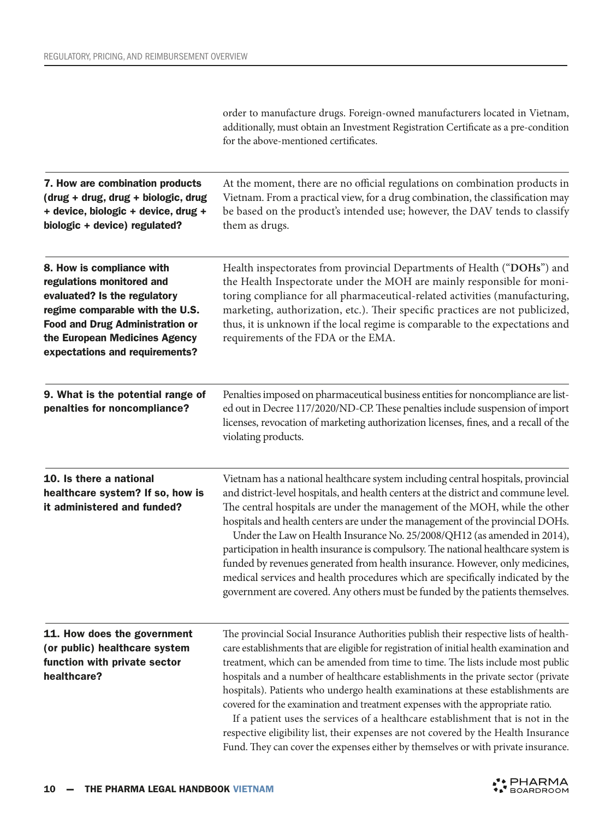|                                                                                                                                                                                                                                        | order to manufacture drugs. Foreign-owned manufacturers located in Vietnam,<br>additionally, must obtain an Investment Registration Certificate as a pre-condition<br>for the above-mentioned certificates.                                                                                                                                                                                                                                                                                                                                                                                                                                                                                                                                                                                      |
|----------------------------------------------------------------------------------------------------------------------------------------------------------------------------------------------------------------------------------------|--------------------------------------------------------------------------------------------------------------------------------------------------------------------------------------------------------------------------------------------------------------------------------------------------------------------------------------------------------------------------------------------------------------------------------------------------------------------------------------------------------------------------------------------------------------------------------------------------------------------------------------------------------------------------------------------------------------------------------------------------------------------------------------------------|
| 7. How are combination products<br>(drug + drug, drug + biologic, drug<br>+ device, biologic + device, drug +<br>biologic + device) regulated?                                                                                         | At the moment, there are no official regulations on combination products in<br>Vietnam. From a practical view, for a drug combination, the classification may<br>be based on the product's intended use; however, the DAV tends to classify<br>them as drugs.                                                                                                                                                                                                                                                                                                                                                                                                                                                                                                                                    |
| 8. How is compliance with<br>regulations monitored and<br>evaluated? Is the regulatory<br>regime comparable with the U.S.<br><b>Food and Drug Administration or</b><br>the European Medicines Agency<br>expectations and requirements? | Health inspectorates from provincial Departments of Health ("DOHs") and<br>the Health Inspectorate under the MOH are mainly responsible for moni-<br>toring compliance for all pharmaceutical-related activities (manufacturing,<br>marketing, authorization, etc.). Their specific practices are not publicized,<br>thus, it is unknown if the local regime is comparable to the expectations and<br>requirements of the FDA or the EMA.                                                                                                                                                                                                                                                                                                                                                        |
| 9. What is the potential range of<br>penalties for noncompliance?                                                                                                                                                                      | Penalties imposed on pharmaceutical business entities for noncompliance are list-<br>ed out in Decree 117/2020/ND-CP. These penalties include suspension of import<br>licenses, revocation of marketing authorization licenses, fines, and a recall of the<br>violating products.                                                                                                                                                                                                                                                                                                                                                                                                                                                                                                                |
| 10. Is there a national<br>healthcare system? If so, how is<br>it administered and funded?                                                                                                                                             | Vietnam has a national healthcare system including central hospitals, provincial<br>and district-level hospitals, and health centers at the district and commune level.<br>The central hospitals are under the management of the MOH, while the other<br>hospitals and health centers are under the management of the provincial DOHs.<br>Under the Law on Health Insurance No. 25/2008/QH12 (as amended in 2014),<br>participation in health insurance is compulsory. The national healthcare system is<br>funded by revenues generated from health insurance. However, only medicines,<br>medical services and health procedures which are specifically indicated by the<br>government are covered. Any others must be funded by the patients themselves.                                      |
| 11. How does the government<br>(or public) healthcare system<br>function with private sector<br>healthcare?                                                                                                                            | The provincial Social Insurance Authorities publish their respective lists of health-<br>care establishments that are eligible for registration of initial health examination and<br>treatment, which can be amended from time to time. The lists include most public<br>hospitals and a number of healthcare establishments in the private sector (private<br>hospitals). Patients who undergo health examinations at these establishments are<br>covered for the examination and treatment expenses with the appropriate ratio.<br>If a patient uses the services of a healthcare establishment that is not in the<br>respective eligibility list, their expenses are not covered by the Health Insurance<br>Fund. They can cover the expenses either by themselves or with private insurance. |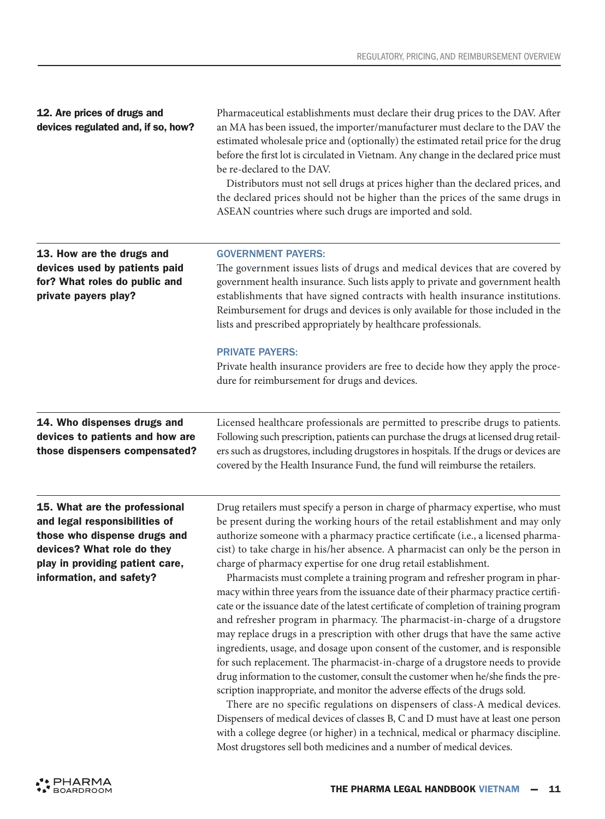Pharmaceutical establishments must declare their drug prices to the DAV. After an MA has been issued, the importer/manufacturer must declare to the DAV the estimated wholesale price and (optionally) the estimated retail price for the drug before the first lot is circulated in Vietnam. Any change in the declared price must

|                                                                                                                                                                                             | be re-declared to the DAV.<br>Distributors must not sell drugs at prices higher than the declared prices, and<br>the declared prices should not be higher than the prices of the same drugs in<br>ASEAN countries where such drugs are imported and sold.                                                                                                                                                                                                                                                                                                                                                                                                                                                                                                                                                                                                                                                                                                                                                                                                                                                                                                                                                                                                                                                                                                                                                                                                                                                        |
|---------------------------------------------------------------------------------------------------------------------------------------------------------------------------------------------|------------------------------------------------------------------------------------------------------------------------------------------------------------------------------------------------------------------------------------------------------------------------------------------------------------------------------------------------------------------------------------------------------------------------------------------------------------------------------------------------------------------------------------------------------------------------------------------------------------------------------------------------------------------------------------------------------------------------------------------------------------------------------------------------------------------------------------------------------------------------------------------------------------------------------------------------------------------------------------------------------------------------------------------------------------------------------------------------------------------------------------------------------------------------------------------------------------------------------------------------------------------------------------------------------------------------------------------------------------------------------------------------------------------------------------------------------------------------------------------------------------------|
| 13. How are the drugs and<br>devices used by patients paid<br>for? What roles do public and<br>private payers play?                                                                         | <b>GOVERNMENT PAYERS:</b><br>The government issues lists of drugs and medical devices that are covered by<br>government health insurance. Such lists apply to private and government health<br>establishments that have signed contracts with health insurance institutions.<br>Reimbursement for drugs and devices is only available for those included in the<br>lists and prescribed appropriately by healthcare professionals.                                                                                                                                                                                                                                                                                                                                                                                                                                                                                                                                                                                                                                                                                                                                                                                                                                                                                                                                                                                                                                                                               |
|                                                                                                                                                                                             | <b>PRIVATE PAYERS:</b><br>Private health insurance providers are free to decide how they apply the proce-<br>dure for reimbursement for drugs and devices.                                                                                                                                                                                                                                                                                                                                                                                                                                                                                                                                                                                                                                                                                                                                                                                                                                                                                                                                                                                                                                                                                                                                                                                                                                                                                                                                                       |
| 14. Who dispenses drugs and<br>devices to patients and how are<br>those dispensers compensated?                                                                                             | Licensed healthcare professionals are permitted to prescribe drugs to patients.<br>Following such prescription, patients can purchase the drugs at licensed drug retail-<br>ers such as drugstores, including drugstores in hospitals. If the drugs or devices are<br>covered by the Health Insurance Fund, the fund will reimburse the retailers.                                                                                                                                                                                                                                                                                                                                                                                                                                                                                                                                                                                                                                                                                                                                                                                                                                                                                                                                                                                                                                                                                                                                                               |
| 15. What are the professional<br>and legal responsibilities of<br>those who dispense drugs and<br>devices? What role do they<br>play in providing patient care,<br>information, and safety? | Drug retailers must specify a person in charge of pharmacy expertise, who must<br>be present during the working hours of the retail establishment and may only<br>authorize someone with a pharmacy practice certificate (i.e., a licensed pharma-<br>cist) to take charge in his/her absence. A pharmacist can only be the person in<br>charge of pharmacy expertise for one drug retail establishment.<br>Pharmacists must complete a training program and refresher program in phar-<br>macy within three years from the issuance date of their pharmacy practice certifi-<br>cate or the issuance date of the latest certificate of completion of training program<br>and refresher program in pharmacy. The pharmacist-in-charge of a drugstore<br>may replace drugs in a prescription with other drugs that have the same active<br>ingredients, usage, and dosage upon consent of the customer, and is responsible<br>for such replacement. The pharmacist-in-charge of a drugstore needs to provide<br>drug information to the customer, consult the customer when he/she finds the pre-<br>scription inappropriate, and monitor the adverse effects of the drugs sold.<br>There are no specific regulations on dispensers of class-A medical devices.<br>Dispensers of medical devices of classes B, C and D must have at least one person<br>with a college degree (or higher) in a technical, medical or pharmacy discipline.<br>Most drugstores sell both medicines and a number of medical devices. |

12. Are prices of drugs and devices regulated and, if so, how?